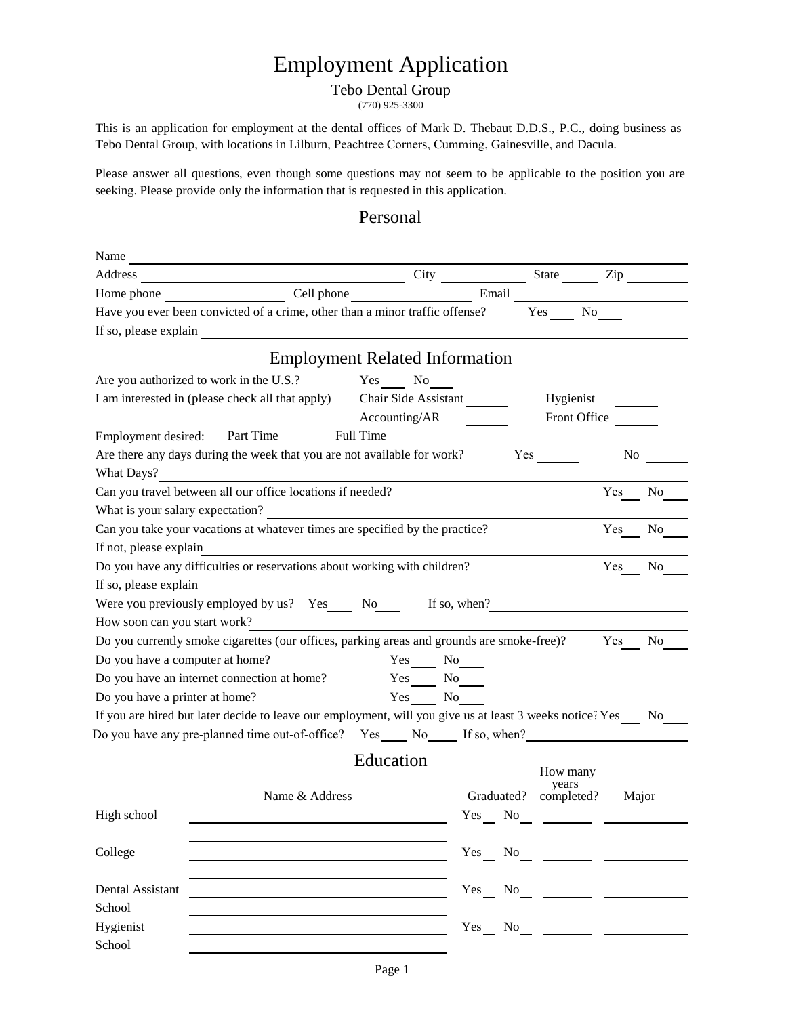# Employment Application

### Tebo Dental Group

(770) 925-3300

This is an application for employment at the dental offices of Mark D. Thebaut D.D.S., P.C., doing business as Tebo Dental Group, with locations in Lilburn, Peachtree Corners, Cumming, Gainesville, and Dacula.

Please answer all questions, even though some questions may not seem to be applicable to the position you are seeking. Please provide only the information that is requested in this application.

### Personal

| Name                            |                                                                                                             |                                       |                |                       |                |
|---------------------------------|-------------------------------------------------------------------------------------------------------------|---------------------------------------|----------------|-----------------------|----------------|
| Address                         |                                                                                                             |                                       | City State Zip |                       |                |
|                                 |                                                                                                             |                                       | Email          |                       |                |
|                                 | Have you ever been convicted of a crime, other than a minor traffic offense?                                |                                       |                | Yes                   | No             |
| If so, please explain           |                                                                                                             |                                       |                |                       |                |
|                                 |                                                                                                             | <b>Employment Related Information</b> |                |                       |                |
|                                 |                                                                                                             |                                       |                |                       |                |
|                                 | Are you authorized to work in the U.S.? Yes No                                                              |                                       |                |                       |                |
|                                 | I am interested in (please check all that apply) Chair Side Assistant                                       |                                       |                | Hygienist             |                |
|                                 |                                                                                                             | Accounting/AR                         |                | Front Office          |                |
|                                 | Employment desired: Part Time Full Time                                                                     |                                       |                |                       |                |
|                                 | Are there any days during the week that you are not available for work?                                     |                                       |                | Yes                   | N <sub>0</sub> |
| What Days?                      |                                                                                                             |                                       |                |                       |                |
|                                 | Can you travel between all our office locations if needed?                                                  |                                       |                |                       | Yes<br>No.     |
|                                 | What is your salary expectation?                                                                            |                                       |                |                       |                |
|                                 | Can you take your vacations at whatever times are specified by the practice?                                |                                       |                |                       | Yes<br>No      |
| If not, please explain          |                                                                                                             |                                       |                |                       |                |
|                                 | Do you have any difficulties or reservations about working with children?                                   |                                       |                |                       | Yes<br>No      |
|                                 | If so, please explain                                                                                       |                                       |                |                       |                |
|                                 | Were you previously employed by us? Yes______ No________ If so, when?                                       |                                       |                |                       |                |
| How soon can you start work?    |                                                                                                             |                                       |                |                       |                |
|                                 | Do you currently smoke cigarettes (our offices, parking areas and grounds are smoke-free)?                  |                                       |                |                       | Yes<br>No      |
| Do you have a computer at home? | Do you have an internet connection at home?                                                                 | Yes No<br>$Yes$ No $\qquad$           |                |                       |                |
| Do you have a printer at home?  |                                                                                                             | Yes No                                |                |                       |                |
|                                 | If you are hired but later decide to leave our employment, will you give us at least 3 weeks notice? Yes No |                                       |                |                       |                |
|                                 |                                                                                                             |                                       |                |                       |                |
|                                 | Do you have any pre-planned time out-of-office? Yes No If so, when?                                         |                                       |                |                       |                |
|                                 |                                                                                                             | Education                             |                | How many              |                |
|                                 |                                                                                                             |                                       |                | years                 |                |
|                                 | Name & Address                                                                                              |                                       |                | Graduated? completed? | Major          |
| High school                     |                                                                                                             |                                       | Yes No         | $\sim$ $\sim$ $\sim$  |                |
|                                 |                                                                                                             |                                       |                |                       |                |
| College                         |                                                                                                             |                                       | Yes No         |                       |                |
|                                 |                                                                                                             |                                       |                |                       |                |
| Dental Assistant                |                                                                                                             |                                       | Yes No         |                       |                |
| School                          |                                                                                                             |                                       |                |                       |                |
| Hygienist                       |                                                                                                             |                                       | Yes<br>No      |                       |                |
| School                          |                                                                                                             |                                       |                |                       |                |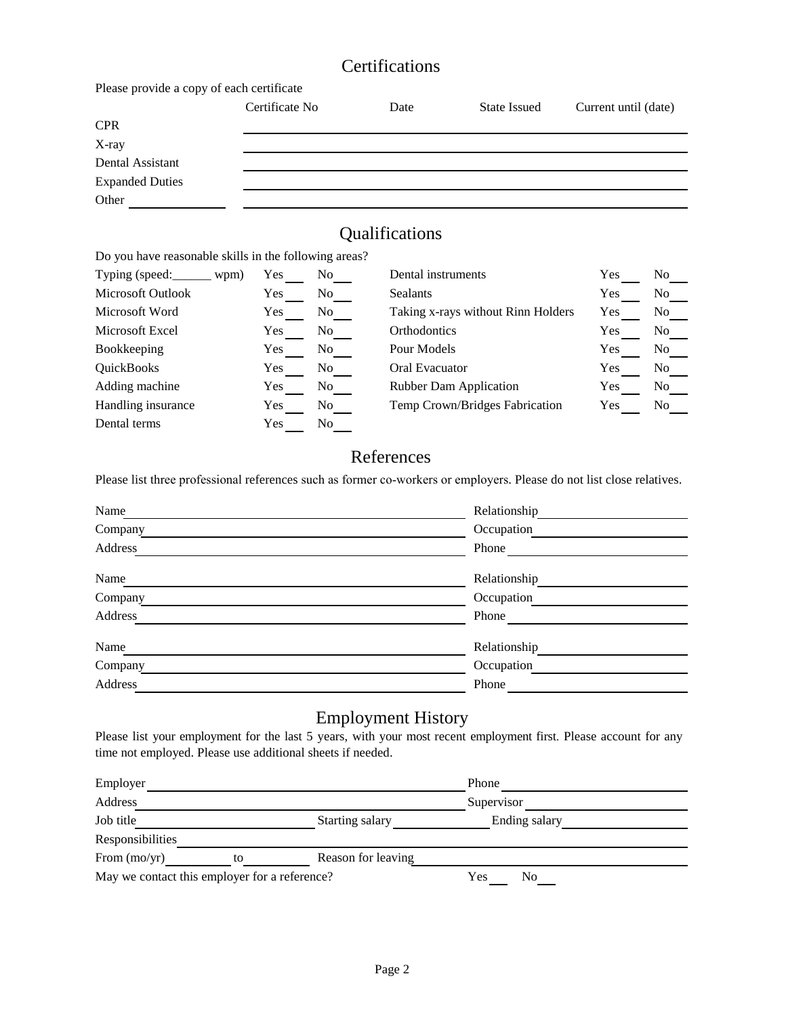# **Certifications**

Please provide a copy of each certificate

|                        | Certificate No | Date | State Issued | Current until (date) |
|------------------------|----------------|------|--------------|----------------------|
| <b>CPR</b>             |                |      |              |                      |
| X-ray                  |                |      |              |                      |
| Dental Assistant       |                |      |              |                      |
| <b>Expanded Duties</b> |                |      |              |                      |
| Other                  |                |      |              |                      |

## Qualifications

Do you have reasonable skills in the following areas?

| Typing (speed:           | wpm) | Yes        | No | Dental instruments                 | Yes | No. |
|--------------------------|------|------------|----|------------------------------------|-----|-----|
| <b>Microsoft Outlook</b> |      | Yes        | No | <b>Sealants</b>                    | Yes | No  |
| Microsoft Word           |      | Yes        | No | Taking x-rays without Rinn Holders | Yes | No  |
| Microsoft Excel          |      | Yes        | No | <b>Orthodontics</b>                | Yes | No  |
| Bookkeeping              |      | Yes        | No | Pour Models                        | Yes | No  |
| QuickBooks               |      | <b>Yes</b> | No | Oral Evacuator                     | Yes | No  |
| Adding machine           |      | Yes        | No | <b>Rubber Dam Application</b>      | Yes | No  |
| Handling insurance       |      | Yes        | No | Temp Crown/Bridges Fabrication     | Yes | No  |
| Dental terms             |      | Yes        | No |                                    |     |     |

## References

Please list three professional references such as former co-workers or employers. Please do not list close relatives.

| Name    | Relationship |
|---------|--------------|
| Company | Occupation   |
| Address | Phone        |
| Name    | Relationship |
| Company | Occupation   |
| Address | Phone        |
| Name    | Relationship |
| Company | Occupation   |
| Address | Phone        |

### Employment History

Please list your employment for the last 5 years, with your most recent employment first. Please account for any time not employed. Please use additional sheets if needed.

| Employer                                      |    |                    | Phone         |  |
|-----------------------------------------------|----|--------------------|---------------|--|
| Address                                       |    |                    | Supervisor    |  |
| Job title                                     |    | Starting salary    | Ending salary |  |
| Responsibilities                              |    |                    |               |  |
| From $(mo/yr)$                                | to | Reason for leaving |               |  |
| May we contact this employer for a reference? |    |                    | Yes<br>No     |  |